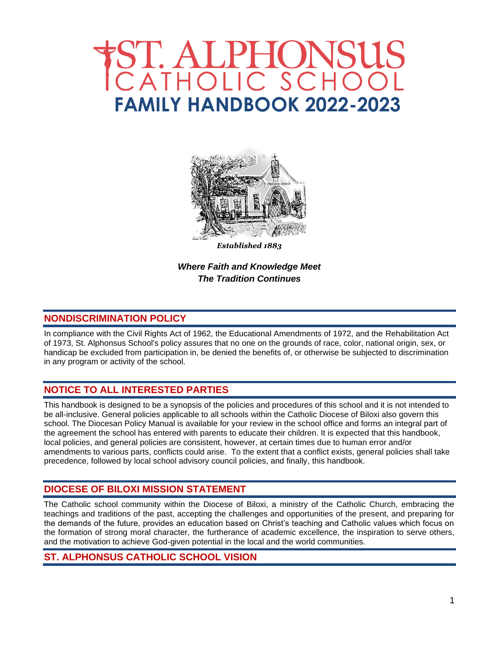# ST. ALPHONSUS<br>CATHOLIC SCHOOL  **FAMILY HANDBOOK 2022-2023**



*Established 1883*

*Where Faith and Knowledge Meet The Tradition Continues*

## **NONDISCRIMINATION POLICY**

In compliance with the Civil Rights Act of 1962, the Educational Amendments of 1972, and the Rehabilitation Act of 1973, St. Alphonsus School's policy assures that no one on the grounds of race, color, national origin, sex, or handicap be excluded from participation in, be denied the benefits of, or otherwise be subjected to discrimination in any program or activity of the school.

## **NOTICE TO ALL INTERESTED PARTIES**

This handbook is designed to be a synopsis of the policies and procedures of this school and it is not intended to be all-inclusive. General policies applicable to all schools within the Catholic Diocese of Biloxi also govern this school. The Diocesan Policy Manual is available for your review in the school office and forms an integral part of the agreement the school has entered with parents to educate their children. It is expected that this handbook, local policies, and general policies are consistent, however, at certain times due to human error and/or amendments to various parts, conflicts could arise. To the extent that a conflict exists, general policies shall take precedence, followed by local school advisory council policies, and finally, this handbook.

## **DIOCESE OF BILOXI MISSION STATEMENT**

The Catholic school community within the Diocese of Biloxi, a ministry of the Catholic Church, embracing the teachings and traditions of the past, accepting the challenges and opportunities of the present, and preparing for the demands of the future, provides an education based on Christ's teaching and Catholic values which focus on the formation of strong moral character, the furtherance of academic excellence, the inspiration to serve others, and the motivation to achieve God-given potential in the local and the world communities.

## **ST. ALPHONSUS CATHOLIC SCHOOL VISION**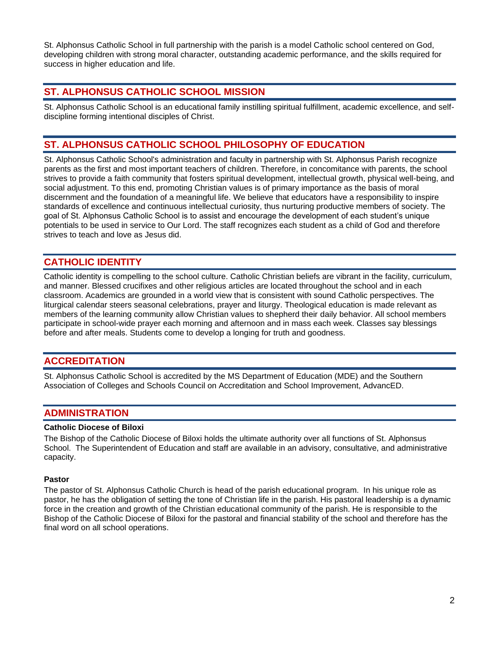St. Alphonsus Catholic School in full partnership with the parish is a model Catholic school centered on God, developing children with strong moral character, outstanding academic performance, and the skills required for success in higher education and life.

## **ST. ALPHONSUS CATHOLIC SCHOOL MISSION**

St. Alphonsus Catholic School is an educational family instilling spiritual fulfillment, academic excellence, and selfdiscipline forming intentional disciples of Christ.

## **ST. ALPHONSUS CATHOLIC SCHOOL PHILOSOPHY OF EDUCATION**

St. Alphonsus Catholic School's administration and faculty in partnership with St. Alphonsus Parish recognize parents as the first and most important teachers of children. Therefore, in concomitance with parents, the school strives to provide a faith community that fosters spiritual development, intellectual growth, physical well-being, and social adjustment. To this end, promoting Christian values is of primary importance as the basis of moral discernment and the foundation of a meaningful life. We believe that educators have a responsibility to inspire standards of excellence and continuous intellectual curiosity, thus nurturing productive members of society. The goal of St. Alphonsus Catholic School is to assist and encourage the development of each student's unique potentials to be used in service to Our Lord. The staff recognizes each student as a child of God and therefore strives to teach and love as Jesus did.

## **CATHOLIC IDENTITY**

Catholic identity is compelling to the school culture. Catholic Christian beliefs are vibrant in the facility, curriculum, and manner. Blessed crucifixes and other religious articles are located throughout the school and in each classroom. Academics are grounded in a world view that is consistent with sound Catholic perspectives. The liturgical calendar steers seasonal celebrations, prayer and liturgy. Theological education is made relevant as members of the learning community allow Christian values to shepherd their daily behavior. All school members participate in school-wide prayer each morning and afternoon and in mass each week. Classes say blessings before and after meals. Students come to develop a longing for truth and goodness.

## **ACCREDITATION**

St. Alphonsus Catholic School is accredited by the MS Department of Education (MDE) and the Southern Association of Colleges and Schools Council on Accreditation and School Improvement, AdvancED.

## **ADMINISTRATION**

#### **Catholic Diocese of Biloxi**

The Bishop of the Catholic Diocese of Biloxi holds the ultimate authority over all functions of St. Alphonsus School. The Superintendent of Education and staff are available in an advisory, consultative, and administrative capacity.

#### **Pastor**

The pastor of St. Alphonsus Catholic Church is head of the parish educational program. In his unique role as pastor, he has the obligation of setting the tone of Christian life in the parish. His pastoral leadership is a dynamic force in the creation and growth of the Christian educational community of the parish. He is responsible to the Bishop of the Catholic Diocese of Biloxi for the pastoral and financial stability of the school and therefore has the final word on all school operations.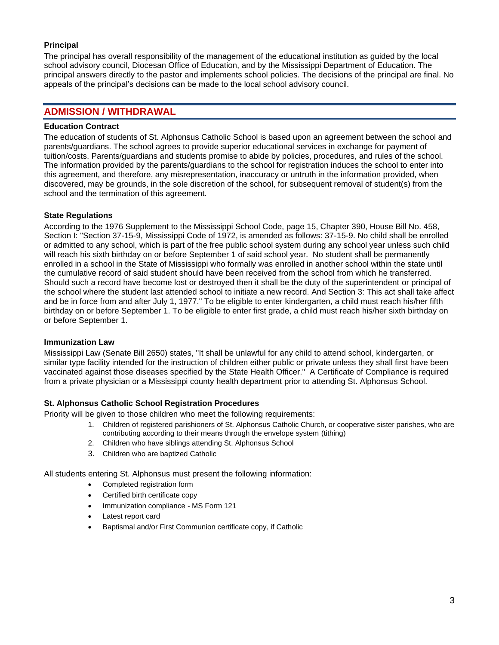#### **Principal**

The principal has overall responsibility of the management of the educational institution as guided by the local school advisory council, Diocesan Office of Education, and by the Mississippi Department of Education. The principal answers directly to the pastor and implements school policies. The decisions of the principal are final. No appeals of the principal's decisions can be made to the local school advisory council.

## **ADMISSION / WITHDRAWAL**

#### **Education Contract**

The education of students of St. Alphonsus Catholic School is based upon an agreement between the school and parents/guardians. The school agrees to provide superior educational services in exchange for payment of tuition/costs. Parents/guardians and students promise to abide by policies, procedures, and rules of the school. The information provided by the parents/guardians to the school for registration induces the school to enter into this agreement, and therefore, any misrepresentation, inaccuracy or untruth in the information provided, when discovered, may be grounds, in the sole discretion of the school, for subsequent removal of student(s) from the school and the termination of this agreement.

#### **State Regulations**

According to the 1976 Supplement to the Mississippi School Code, page 15, Chapter 390, House Bill No. 458, Section I: "Section 37-15-9, Mississippi Code of 1972, is amended as follows: 37-15-9. No child shall be enrolled or admitted to any school, which is part of the free public school system during any school year unless such child will reach his sixth birthday on or before September 1 of said school year. No student shall be permanently enrolled in a school in the State of Mississippi who formally was enrolled in another school within the state until the cumulative record of said student should have been received from the school from which he transferred. Should such a record have become lost or destroyed then it shall be the duty of the superintendent or principal of the school where the student last attended school to initiate a new record. And Section 3: This act shall take affect and be in force from and after July 1, 1977." To be eligible to enter kindergarten, a child must reach his/her fifth birthday on or before September 1. To be eligible to enter first grade, a child must reach his/her sixth birthday on or before September 1.

#### **Immunization Law**

Mississippi Law (Senate Bill 2650) states, "It shall be unlawful for any child to attend school, kindergarten, or similar type facility intended for the instruction of children either public or private unless they shall first have been vaccinated against those diseases specified by the State Health Officer." A Certificate of Compliance is required from a private physician or a Mississippi county health department prior to attending St. Alphonsus School.

#### **St. Alphonsus Catholic School Registration Procedures**

Priority will be given to those children who meet the following requirements:

- 1. Children of registered parishioners of St. Alphonsus Catholic Church, or cooperative sister parishes, who are contributing according to their means through the envelope system (tithing)
- 2. Children who have siblings attending St. Alphonsus School
- 3. Children who are baptized Catholic

All students entering St. Alphonsus must present the following information:

- Completed registration form
- Certified birth certificate copy
- Immunization compliance MS Form 121
- Latest report card
- Baptismal and/or First Communion certificate copy, if Catholic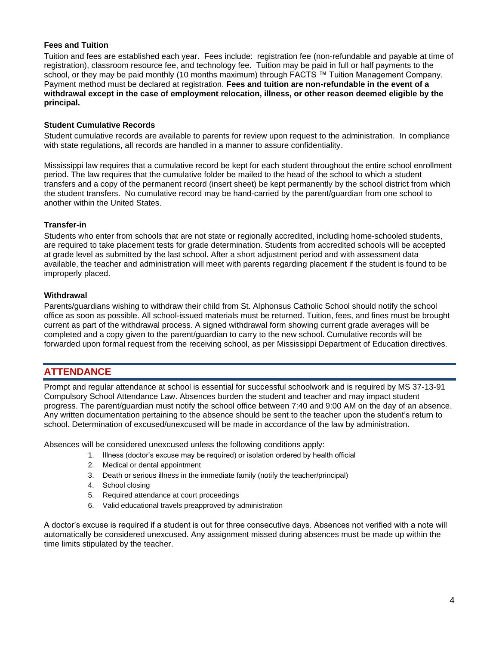#### **Fees and Tuition**

Tuition and fees are established each year. Fees include: registration fee (non-refundable and payable at time of registration), classroom resource fee, and technology fee. Tuition may be paid in full or half payments to the school, or they may be paid monthly (10 months maximum) through FACTS ™ Tuition Management Company. Payment method must be declared at registration. **Fees and tuition are non-refundable in the event of a withdrawal except in the case of employment relocation, illness, or other reason deemed eligible by the principal.**

#### **Student Cumulative Records**

Student cumulative records are available to parents for review upon request to the administration. In compliance with state regulations, all records are handled in a manner to assure confidentiality.

Mississippi law requires that a cumulative record be kept for each student throughout the entire school enrollment period. The law requires that the cumulative folder be mailed to the head of the school to which a student transfers and a copy of the permanent record (insert sheet) be kept permanently by the school district from which the student transfers. No cumulative record may be hand-carried by the parent/guardian from one school to another within the United States.

#### **Transfer-in**

Students who enter from schools that are not state or regionally accredited, including home-schooled students, are required to take placement tests for grade determination. Students from accredited schools will be accepted at grade level as submitted by the last school. After a short adjustment period and with assessment data available, the teacher and administration will meet with parents regarding placement if the student is found to be improperly placed.

#### **Withdrawal**

Parents/guardians wishing to withdraw their child from St. Alphonsus Catholic School should notify the school office as soon as possible. All school-issued materials must be returned. Tuition, fees, and fines must be brought current as part of the withdrawal process. A signed withdrawal form showing current grade averages will be completed and a copy given to the parent/guardian to carry to the new school. Cumulative records will be forwarded upon formal request from the receiving school, as per Mississippi Department of Education directives.

## **ATTENDANCE**

Prompt and regular attendance at school is essential for successful schoolwork and is required by MS 37-13-91 Compulsory School Attendance Law. Absences burden the student and teacher and may impact student progress. The parent/guardian must notify the school office between 7:40 and 9:00 AM on the day of an absence. Any written documentation pertaining to the absence should be sent to the teacher upon the student's return to school. Determination of excused/unexcused will be made in accordance of the law by administration.

Absences will be considered unexcused unless the following conditions apply:

- 1. Illness (doctor's excuse may be required) or isolation ordered by health official
- 2. Medical or dental appointment
- 3. Death or serious illness in the immediate family (notify the teacher/principal)
- 4. School closing
- 5. Required attendance at court proceedings
- 6. Valid educational travels preapproved by administration

A doctor's excuse is required if a student is out for three consecutive days. Absences not verified with a note will automatically be considered unexcused. Any assignment missed during absences must be made up within the time limits stipulated by the teacher.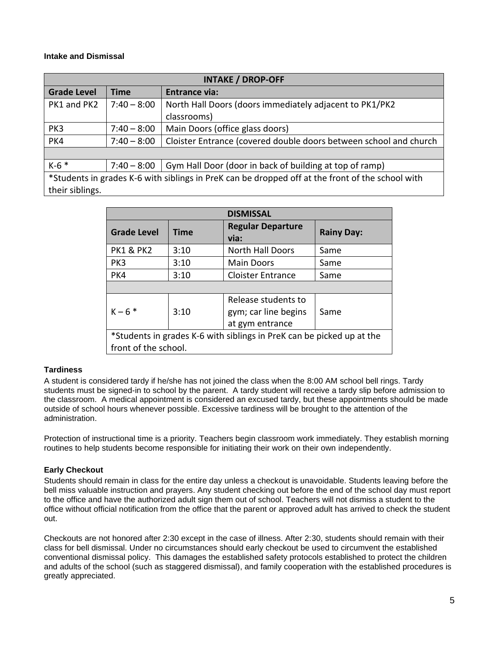#### **Intake and Dismissal**

| <b>INTAKE / DROP-OFF</b>                                                                         |               |                                                                   |
|--------------------------------------------------------------------------------------------------|---------------|-------------------------------------------------------------------|
| <b>Grade Level</b>                                                                               | Time          | <b>Entrance via:</b>                                              |
| PK1 and PK2                                                                                      | $7:40 - 8:00$ | North Hall Doors (doors immediately adjacent to PK1/PK2           |
|                                                                                                  |               | classrooms)                                                       |
| PK3                                                                                              | $7:40 - 8:00$ | Main Doors (office glass doors)                                   |
| PK4                                                                                              | $7:40 - 8:00$ | Cloister Entrance (covered double doors between school and church |
|                                                                                                  |               |                                                                   |
| $K-6$ *                                                                                          | $7:40 - 8:00$ | Gym Hall Door (door in back of building at top of ramp)           |
| *Students in grades K-6 with siblings in PreK can be dropped off at the front of the school with |               |                                                                   |
| their siblings.                                                                                  |               |                                                                   |

| <b>DISMISSAL</b>                                                      |             |                                                                |                   |
|-----------------------------------------------------------------------|-------------|----------------------------------------------------------------|-------------------|
| <b>Grade Level</b>                                                    | <b>Time</b> | <b>Regular Departure</b><br>via:                               | <b>Rainy Day:</b> |
| <b>PK1 &amp; PK2</b>                                                  | 3:10        | <b>North Hall Doors</b>                                        | Same              |
| PK3                                                                   | 3:10        | Main Doors                                                     | Same              |
| PK4                                                                   | 3:10        | <b>Cloister Entrance</b>                                       | Same              |
|                                                                       |             |                                                                |                   |
| $K - 6$ *                                                             | 3:10        | Release students to<br>gym; car line begins<br>at gym entrance | Same              |
| *Students in grades K-6 with siblings in PreK can be picked up at the |             |                                                                |                   |
| front of the school.                                                  |             |                                                                |                   |

#### **Tardiness**

A student is considered tardy if he/she has not joined the class when the 8:00 AM school bell rings. Tardy students must be signed-in to school by the parent. A tardy student will receive a tardy slip before admission to the classroom. A medical appointment is considered an excused tardy, but these appointments should be made outside of school hours whenever possible. Excessive tardiness will be brought to the attention of the administration.

Protection of instructional time is a priority. Teachers begin classroom work immediately. They establish morning routines to help students become responsible for initiating their work on their own independently.

## **Early Checkout**

Students should remain in class for the entire day unless a checkout is unavoidable. Students leaving before the bell miss valuable instruction and prayers. Any student checking out before the end of the school day must report to the office and have the authorized adult sign them out of school. Teachers will not dismiss a student to the office without official notification from the office that the parent or approved adult has arrived to check the student out.

Checkouts are not honored after 2:30 except in the case of illness. After 2:30, students should remain with their class for bell dismissal. Under no circumstances should early checkout be used to circumvent the established conventional dismissal policy. This damages the established safety protocols established to protect the children and adults of the school (such as staggered dismissal), and family cooperation with the established procedures is greatly appreciated.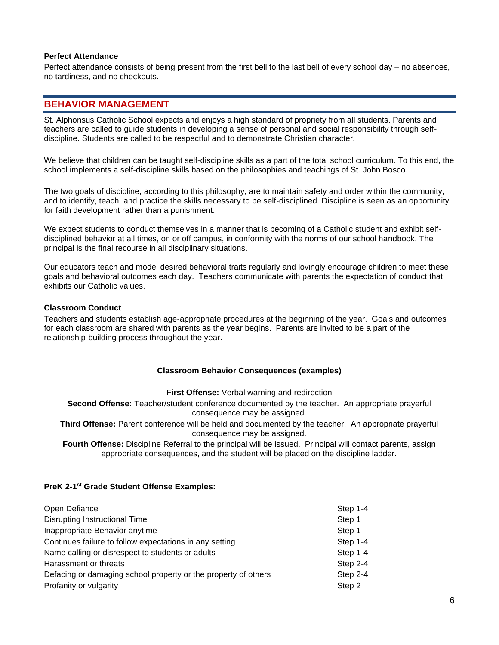#### **Perfect Attendance**

Perfect attendance consists of being present from the first bell to the last bell of every school day – no absences, no tardiness, and no checkouts.

## **BEHAVIOR MANAGEMENT**

St. Alphonsus Catholic School expects and enjoys a high standard of propriety from all students. Parents and teachers are called to guide students in developing a sense of personal and social responsibility through selfdiscipline. Students are called to be respectful and to demonstrate Christian character.

We believe that children can be taught self-discipline skills as a part of the total school curriculum. To this end, the school implements a self-discipline skills based on the philosophies and teachings of St. John Bosco.

The two goals of discipline, according to this philosophy, are to maintain safety and order within the community, and to identify, teach, and practice the skills necessary to be self-disciplined. Discipline is seen as an opportunity for faith development rather than a punishment.

We expect students to conduct themselves in a manner that is becoming of a Catholic student and exhibit selfdisciplined behavior at all times, on or off campus, in conformity with the norms of our school handbook. The principal is the final recourse in all disciplinary situations.

Our educators teach and model desired behavioral traits regularly and lovingly encourage children to meet these goals and behavioral outcomes each day. Teachers communicate with parents the expectation of conduct that exhibits our Catholic values.

#### **Classroom Conduct**

Teachers and students establish age-appropriate procedures at the beginning of the year. Goals and outcomes for each classroom are shared with parents as the year begins. Parents are invited to be a part of the relationship-building process throughout the year.

#### **Classroom Behavior Consequences (examples)**

**First Offense:** Verbal warning and redirection

**Second Offense:** Teacher/student conference documented by the teacher. An appropriate prayerful consequence may be assigned.

**Third Offense:** Parent conference will be held and documented by the teacher. An appropriate prayerful consequence may be assigned.

**Fourth Offense:** Discipline Referral to the principal will be issued. Principal will contact parents, assign appropriate consequences, and the student will be placed on the discipline ladder.

#### **PreK 2-1 st Grade Student Offense Examples:**

| Open Defiance                                                  | Step 1-4   |
|----------------------------------------------------------------|------------|
| <b>Disrupting Instructional Time</b>                           | Step 1     |
| Inappropriate Behavior anytime                                 | Step 1     |
| Continues failure to follow expectations in any setting        | Step 1-4   |
| Name calling or disrespect to students or adults               | Step 1-4   |
| Harassment or threats                                          | Step $2-4$ |
| Defacing or damaging school property or the property of others | Step 2-4   |
| Profanity or vulgarity                                         | Step 2     |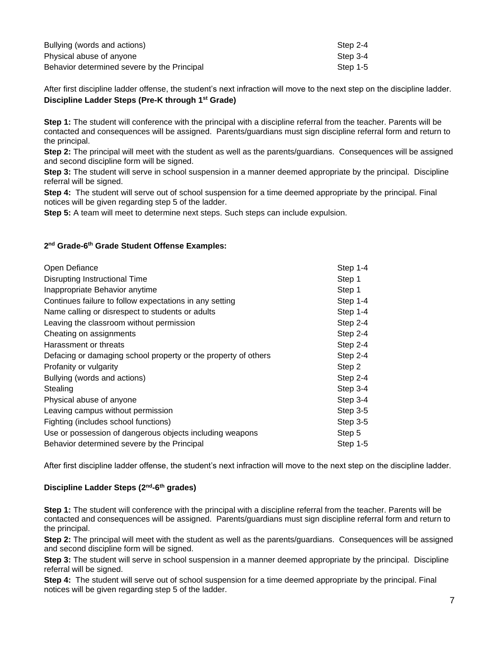| Bullying (words and actions)                | Step 2-4 |
|---------------------------------------------|----------|
| Physical abuse of anyone                    | Step 3-4 |
| Behavior determined severe by the Principal | Step 1-5 |

After first discipline ladder offense, the student's next infraction will move to the next step on the discipline ladder. **Discipline Ladder Steps (Pre-K through 1st Grade)**

**Step 1:** The student will conference with the principal with a discipline referral from the teacher. Parents will be contacted and consequences will be assigned. Parents/guardians must sign discipline referral form and return to the principal.

**Step 2:** The principal will meet with the student as well as the parents/guardians. Consequences will be assigned and second discipline form will be signed.

**Step 3:** The student will serve in school suspension in a manner deemed appropriate by the principal. Discipline referral will be signed.

**Step 4:** The student will serve out of school suspension for a time deemed appropriate by the principal. Final notices will be given regarding step 5 of the ladder.

**Step 5:** A team will meet to determine next steps. Such steps can include expulsion.

#### **2 nd Grade-6 th Grade Student Offense Examples:**

| Step 1-4   |
|------------|
| Step 1     |
| Step 1     |
| Step 1-4   |
| Step 1-4   |
| Step 2-4   |
| Step 2-4   |
| Step $2-4$ |
| Step 2-4   |
| Step 2     |
| Step $2-4$ |
| Step 3-4   |
| Step 3-4   |
| Step 3-5   |
| Step 3-5   |
| Step 5     |
| Step $1-5$ |
|            |

After first discipline ladder offense, the student's next infraction will move to the next step on the discipline ladder.

#### **Discipline Ladder Steps (2nd -6 th grades)**

**Step 1:** The student will conference with the principal with a discipline referral from the teacher. Parents will be contacted and consequences will be assigned. Parents/guardians must sign discipline referral form and return to the principal.

**Step 2:** The principal will meet with the student as well as the parents/guardians. Consequences will be assigned and second discipline form will be signed.

**Step 3:** The student will serve in school suspension in a manner deemed appropriate by the principal. Discipline referral will be signed.

**Step 4:** The student will serve out of school suspension for a time deemed appropriate by the principal. Final notices will be given regarding step 5 of the ladder.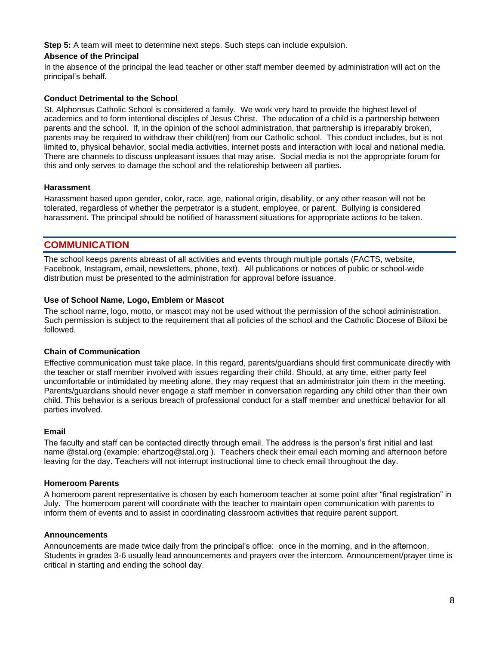**Step 5:** A team will meet to determine next steps. Such steps can include expulsion.

#### **Absence of the Principal**

In the absence of the principal the lead teacher or other staff member deemed by administration will act on the principal's behalf.

#### **Conduct Detrimental to the School**

St. Alphonsus Catholic School is considered a family. We work very hard to provide the highest level of academics and to form intentional disciples of Jesus Christ. The education of a child is a partnership between parents and the school. If, in the opinion of the school administration, that partnership is irreparably broken, parents may be required to withdraw their child(ren) from our Catholic school. This conduct includes, but is not limited to, physical behavior, social media activities, internet posts and interaction with local and national media. There are channels to discuss unpleasant issues that may arise. Social media is not the appropriate forum for this and only serves to damage the school and the relationship between all parties.

#### **Harassment**

Harassment based upon gender, color, race, age, national origin, disability, or any other reason will not be tolerated, regardless of whether the perpetrator is a student, employee, or parent. Bullying is considered harassment. The principal should be notified of harassment situations for appropriate actions to be taken.

## **COMMUNICATION**

The school keeps parents abreast of all activities and events through multiple portals (FACTS, website, Facebook, Instagram, email, newsletters, phone, text). All publications or notices of public or school-wide distribution must be presented to the administration for approval before issuance.

#### **Use of School Name, Logo, Emblem or Mascot**

The school name, logo, motto, or mascot may not be used without the permission of the school administration. Such permission is subject to the requirement that all policies of the school and the Catholic Diocese of Biloxi be followed.

#### **Chain of Communication**

Effective communication must take place. In this regard, parents/guardians should first communicate directly with the teacher or staff member involved with issues regarding their child. Should, at any time, either party feel uncomfortable or intimidated by meeting alone, they may request that an administrator join them in the meeting. Parents/guardians should never engage a staff member in conversation regarding any child other than their own child. This behavior is a serious breach of professional conduct for a staff member and unethical behavior for all parties involved.

#### **Email**

The faculty and staff can be contacted directly through email. The address is the person's first initial and last name @stal.org (example: ehartzog@stal.org ). Teachers check their email each morning and afternoon before leaving for the day. Teachers will not interrupt instructional time to check email throughout the day.

#### **Homeroom Parents**

A homeroom parent representative is chosen by each homeroom teacher at some point after "final registration" in July. The homeroom parent will coordinate with the teacher to maintain open communication with parents to inform them of events and to assist in coordinating classroom activities that require parent support.

#### **Announcements**

Announcements are made twice daily from the principal's office: once in the morning, and in the afternoon. Students in grades 3-6 usually lead announcements and prayers over the intercom. Announcement/prayer time is critical in starting and ending the school day.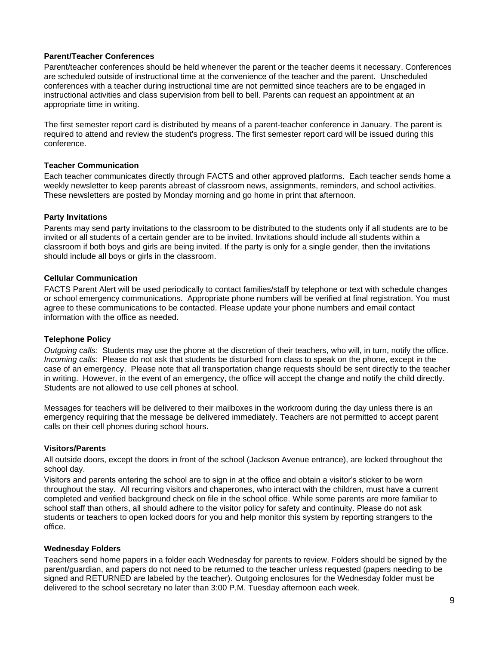#### **Parent/Teacher Conferences**

Parent/teacher conferences should be held whenever the parent or the teacher deems it necessary. Conferences are scheduled outside of instructional time at the convenience of the teacher and the parent. Unscheduled conferences with a teacher during instructional time are not permitted since teachers are to be engaged in instructional activities and class supervision from bell to bell. Parents can request an appointment at an appropriate time in writing.

The first semester report card is distributed by means of a parent-teacher conference in January. The parent is required to attend and review the student's progress. The first semester report card will be issued during this conference.

#### **Teacher Communication**

Each teacher communicates directly through FACTS and other approved platforms. Each teacher sends home a weekly newsletter to keep parents abreast of classroom news, assignments, reminders, and school activities. These newsletters are posted by Monday morning and go home in print that afternoon.

#### **Party Invitations**

Parents may send party invitations to the classroom to be distributed to the students only if all students are to be invited or all students of a certain gender are to be invited. Invitations should include all students within a classroom if both boys and girls are being invited. If the party is only for a single gender, then the invitations should include all boys or girls in the classroom.

#### **Cellular Communication**

FACTS Parent Alert will be used periodically to contact families/staff by telephone or text with schedule changes or school emergency communications. Appropriate phone numbers will be verified at final registration. You must agree to these communications to be contacted. Please update your phone numbers and email contact information with the office as needed.

#### **Telephone Policy**

*Outgoing calls:* Students may use the phone at the discretion of their teachers, who will, in turn, notify the office. *Incoming calls:* Please do not ask that students be disturbed from class to speak on the phone, except in the case of an emergency. Please note that all transportation change requests should be sent directly to the teacher in writing. However, in the event of an emergency, the office will accept the change and notify the child directly. Students are not allowed to use cell phones at school.

Messages for teachers will be delivered to their mailboxes in the workroom during the day unless there is an emergency requiring that the message be delivered immediately. Teachers are not permitted to accept parent calls on their cell phones during school hours.

#### **Visitors/Parents**

All outside doors, except the doors in front of the school (Jackson Avenue entrance), are locked throughout the school day.

Visitors and parents entering the school are to sign in at the office and obtain a visitor's sticker to be worn throughout the stay. All recurring visitors and chaperones, who interact with the children, must have a current completed and verified background check on file in the school office. While some parents are more familiar to school staff than others, all should adhere to the visitor policy for safety and continuity. Please do not ask students or teachers to open locked doors for you and help monitor this system by reporting strangers to the office.

#### **Wednesday Folders**

Teachers send home papers in a folder each Wednesday for parents to review. Folders should be signed by the parent/guardian, and papers do not need to be returned to the teacher unless requested (papers needing to be signed and RETURNED are labeled by the teacher). Outgoing enclosures for the Wednesday folder must be delivered to the school secretary no later than 3:00 P.M. Tuesday afternoon each week.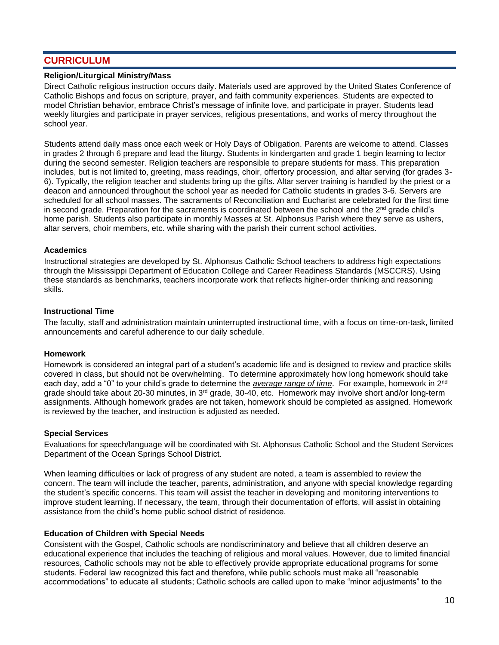## **CURRICULUM**

#### **Religion/Liturgical Ministry/Mass**

Direct Catholic religious instruction occurs daily. Materials used are approved by the United States Conference of Catholic Bishops and focus on scripture, prayer, and faith community experiences. Students are expected to model Christian behavior, embrace Christ's message of infinite love, and participate in prayer. Students lead weekly liturgies and participate in prayer services, religious presentations, and works of mercy throughout the school year.

Students attend daily mass once each week or Holy Days of Obligation. Parents are welcome to attend. Classes in grades 2 through 6 prepare and lead the liturgy. Students in kindergarten and grade 1 begin learning to lector during the second semester. Religion teachers are responsible to prepare students for mass. This preparation includes, but is not limited to, greeting, mass readings, choir, offertory procession, and altar serving (for grades 3- 6). Typically, the religion teacher and students bring up the gifts. Altar server training is handled by the priest or a deacon and announced throughout the school year as needed for Catholic students in grades 3-6. Servers are scheduled for all school masses. The sacraments of Reconciliation and Eucharist are celebrated for the first time in second grade. Preparation for the sacraments is coordinated between the school and the  $2<sup>nd</sup>$  grade child's home parish. Students also participate in monthly Masses at St. Alphonsus Parish where they serve as ushers, altar servers, choir members, etc. while sharing with the parish their current school activities.

#### **Academics**

Instructional strategies are developed by St. Alphonsus Catholic School teachers to address high expectations through the Mississippi Department of Education College and Career Readiness Standards (MSCCRS). Using these standards as benchmarks, teachers incorporate work that reflects higher-order thinking and reasoning skills.

#### **Instructional Time**

The faculty, staff and administration maintain uninterrupted instructional time, with a focus on time-on-task, limited announcements and careful adherence to our daily schedule.

#### **Homework**

Homework is considered an integral part of a student's academic life and is designed to review and practice skills covered in class, but should not be overwhelming. To determine approximately how long homework should take each day, add a "0" to your child's grade to determine the *average range of time*. For example, homework in 2nd grade should take about 20-30 minutes, in 3rd grade, 30-40, etc. Homework may involve short and/or long-term assignments. Although homework grades are not taken, homework should be completed as assigned. Homework is reviewed by the teacher, and instruction is adjusted as needed.

#### **Special Services**

Evaluations for speech/language will be coordinated with St. Alphonsus Catholic School and the Student Services Department of the Ocean Springs School District.

When learning difficulties or lack of progress of any student are noted, a team is assembled to review the concern. The team will include the teacher, parents, administration, and anyone with special knowledge regarding the student's specific concerns. This team will assist the teacher in developing and monitoring interventions to improve student learning. If necessary, the team, through their documentation of efforts, will assist in obtaining assistance from the child's home public school district of residence.

#### **Education of Children with Special Needs**

Consistent with the Gospel, Catholic schools are nondiscriminatory and believe that all children deserve an educational experience that includes the teaching of religious and moral values. However, due to limited financial resources, Catholic schools may not be able to effectively provide appropriate educational programs for some students. Federal law recognized this fact and therefore, while public schools must make all "reasonable accommodations" to educate all students; Catholic schools are called upon to make "minor adjustments" to the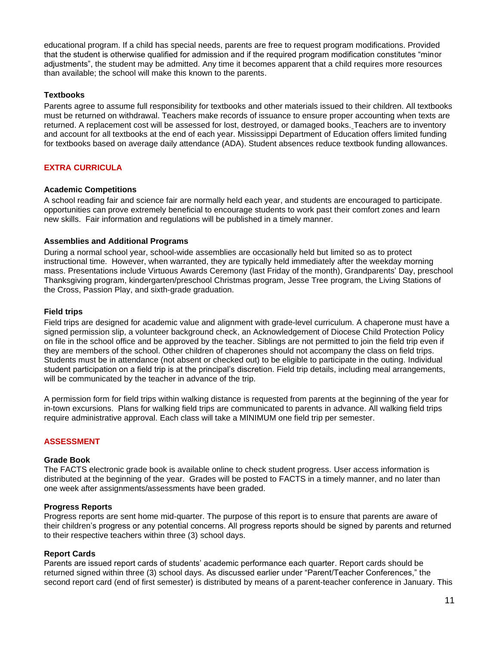educational program. If a child has special needs, parents are free to request program modifications. Provided that the student is otherwise qualified for admission and if the required program modification constitutes "minor adjustments", the student may be admitted. Any time it becomes apparent that a child requires more resources than available; the school will make this known to the parents.

#### **Textbooks**

Parents agree to assume full responsibility for textbooks and other materials issued to their children. All textbooks must be returned on withdrawal. Teachers make records of issuance to ensure proper accounting when texts are returned. A replacement cost will be assessed for lost, destroyed, or damaged books. Teachers are to inventory and account for all textbooks at the end of each year. Mississippi Department of Education offers limited funding for textbooks based on average daily attendance (ADA). Student absences reduce textbook funding allowances.

#### **EXTRA CURRICULA**

#### **Academic Competitions**

A school reading fair and science fair are normally held each year, and students are encouraged to participate. opportunities can prove extremely beneficial to encourage students to work past their comfort zones and learn new skills. Fair information and regulations will be published in a timely manner.

#### **Assemblies and Additional Programs**

During a normal school year, school-wide assemblies are occasionally held but limited so as to protect instructional time. However, when warranted, they are typically held immediately after the weekday morning mass. Presentations include Virtuous Awards Ceremony (last Friday of the month), Grandparents' Day, preschool Thanksgiving program, kindergarten/preschool Christmas program, Jesse Tree program, the Living Stations of the Cross, Passion Play, and sixth-grade graduation.

#### **Field trips**

Field trips are designed for academic value and alignment with grade-level curriculum. A chaperone must have a signed permission slip, a volunteer background check, an Acknowledgement of Diocese Child Protection Policy on file in the school office and be approved by the teacher. Siblings are not permitted to join the field trip even if they are members of the school. Other children of chaperones should not accompany the class on field trips. Students must be in attendance (not absent or checked out) to be eligible to participate in the outing. Individual student participation on a field trip is at the principal's discretion. Field trip details, including meal arrangements, will be communicated by the teacher in advance of the trip.

A permission form for field trips within walking distance is requested from parents at the beginning of the year for in-town excursions. Plans for walking field trips are communicated to parents in advance. All walking field trips require administrative approval. Each class will take a MINIMUM one field trip per semester.

#### **ASSESSMENT**

#### **Grade Book**

The FACTS electronic grade book is available online to check student progress. User access information is distributed at the beginning of the year. Grades will be posted to FACTS in a timely manner, and no later than one week after assignments/assessments have been graded.

#### **Progress Reports**

Progress reports are sent home mid-quarter. The purpose of this report is to ensure that parents are aware of their children's progress or any potential concerns. All progress reports should be signed by parents and returned to their respective teachers within three (3) school days.

#### **Report Cards**

Parents are issued report cards of students' academic performance each quarter. Report cards should be returned signed within three (3) school days. As discussed earlier under "Parent/Teacher Conferences," the second report card (end of first semester) is distributed by means of a parent-teacher conference in January. This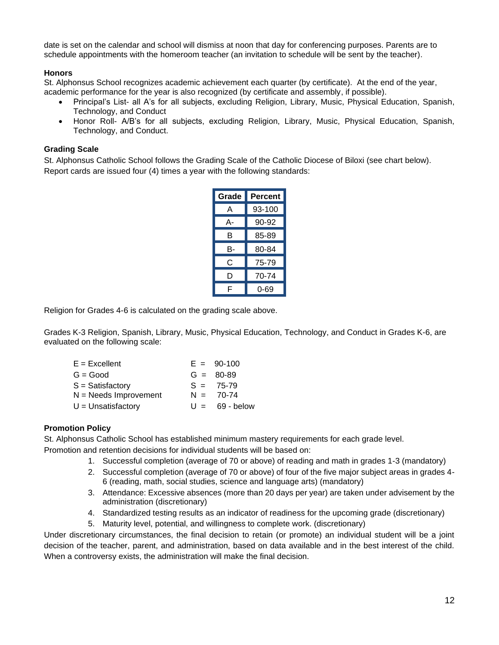date is set on the calendar and school will dismiss at noon that day for conferencing purposes. Parents are to schedule appointments with the homeroom teacher (an invitation to schedule will be sent by the teacher).

#### **Honors**

St. Alphonsus School recognizes academic achievement each quarter (by certificate). At the end of the year, academic performance for the year is also recognized (by certificate and assembly, if possible).

- Principal's List- all A's for all subjects, excluding Religion, Library, Music, Physical Education, Spanish, Technology, and Conduct
- Honor Roll- A/B's for all subjects, excluding Religion, Library, Music, Physical Education, Spanish, Technology, and Conduct.

#### **Grading Scale**

St. Alphonsus Catholic School follows the Grading Scale of the Catholic Diocese of Biloxi (see chart below). Report cards are issued four (4) times a year with the following standards:

| Grade | Percent |
|-------|---------|
| А     | 93-100  |
| А-    | 90-92   |
| в     | 85-89   |
| B-    | 80-84   |
| C     | 75-79   |
| D     | 70-74   |
| F     | Ი-69    |

Religion for Grades 4-6 is calculated on the grading scale above.

Grades K-3 Religion, Spanish, Library, Music, Physical Education, Technology, and Conduct in Grades K-6, are evaluated on the following scale:

| $E = Excellent$         |       | $E = 90-100$ |  |
|-------------------------|-------|--------------|--|
| $G = Good$              |       | $G = 80-89$  |  |
| $S =$ Satisfactory      |       | $S = 75-79$  |  |
| $N =$ Needs Improvement |       | $N = 70-74$  |  |
| $U =$ Unsatisfactory    | $U =$ | 69 - below   |  |

#### **Promotion Policy**

St. Alphonsus Catholic School has established minimum mastery requirements for each grade level. Promotion and retention decisions for individual students will be based on:

- 1. Successful completion (average of 70 or above) of reading and math in grades 1-3 (mandatory)
- 2. Successful completion (average of 70 or above) of four of the five major subject areas in grades 4- 6 (reading, math, social studies, science and language arts) (mandatory)
- 3. Attendance: Excessive absences (more than 20 days per year) are taken under advisement by the administration (discretionary)
- 4. Standardized testing results as an indicator of readiness for the upcoming grade (discretionary)
- 5. Maturity level, potential, and willingness to complete work. (discretionary)

Under discretionary circumstances, the final decision to retain (or promote) an individual student will be a joint decision of the teacher, parent, and administration, based on data available and in the best interest of the child. When a controversy exists, the administration will make the final decision.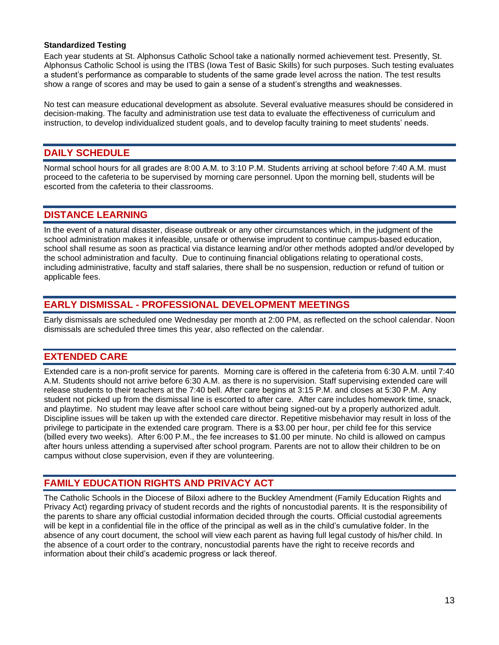#### **Standardized Testing**

Each year students at St. Alphonsus Catholic School take a nationally normed achievement test. Presently, St. Alphonsus Catholic School is using the ITBS (Iowa Test of Basic Skills) for such purposes. Such testing evaluates a student's performance as comparable to students of the same grade level across the nation. The test results show a range of scores and may be used to gain a sense of a student's strengths and weaknesses.

No test can measure educational development as absolute. Several evaluative measures should be considered in decision-making. The faculty and administration use test data to evaluate the effectiveness of curriculum and instruction, to develop individualized student goals, and to develop faculty training to meet students' needs.

## **DAILY SCHEDULE**

Normal school hours for all grades are 8:00 A.M. to 3:10 P.M. Students arriving at school before 7:40 A.M. must proceed to the cafeteria to be supervised by morning care personnel. Upon the morning bell, students will be escorted from the cafeteria to their classrooms.

## **DISTANCE LEARNING**

In the event of a natural disaster, disease outbreak or any other circumstances which, in the judgment of the school administration makes it infeasible, unsafe or otherwise imprudent to continue campus-based education, school shall resume as soon as practical via distance learning and/or other methods adopted and/or developed by the school administration and faculty. Due to continuing financial obligations relating to operational costs, including administrative, faculty and staff salaries, there shall be no suspension, reduction or refund of tuition or applicable fees.

## **EARLY DISMISSAL - PROFESSIONAL DEVELOPMENT MEETINGS**

Early dismissals are scheduled one Wednesday per month at 2:00 PM, as reflected on the school calendar. Noon dismissals are scheduled three times this year, also reflected on the calendar.

## **EXTENDED CARE**

Extended care is a non-profit service for parents. Morning care is offered in the cafeteria from 6:30 A.M. until 7:40 A.M. Students should not arrive before 6:30 A.M. as there is no supervision. Staff supervising extended care will release students to their teachers at the 7:40 bell. After care begins at 3:15 P.M. and closes at 5:30 P.M. Any student not picked up from the dismissal line is escorted to after care. After care includes homework time, snack, and playtime. No student may leave after school care without being signed-out by a properly authorized adult. Discipline issues will be taken up with the extended care director. Repetitive misbehavior may result in loss of the privilege to participate in the extended care program. There is a \$3.00 per hour, per child fee for this service (billed every two weeks). After 6:00 P.M., the fee increases to \$1.00 per minute. No child is allowed on campus after hours unless attending a supervised after school program. Parents are not to allow their children to be on campus without close supervision, even if they are volunteering.

## **FAMILY EDUCATION RIGHTS AND PRIVACY ACT**

The Catholic Schools in the Diocese of Biloxi adhere to the Buckley Amendment (Family Education Rights and Privacy Act) regarding privacy of student records and the rights of noncustodial parents. It is the responsibility of the parents to share any official custodial information decided through the courts. Official custodial agreements will be kept in a confidential file in the office of the principal as well as in the child's cumulative folder. In the absence of any court document, the school will view each parent as having full legal custody of his/her child. In the absence of a court order to the contrary, noncustodial parents have the right to receive records and information about their child's academic progress or lack thereof.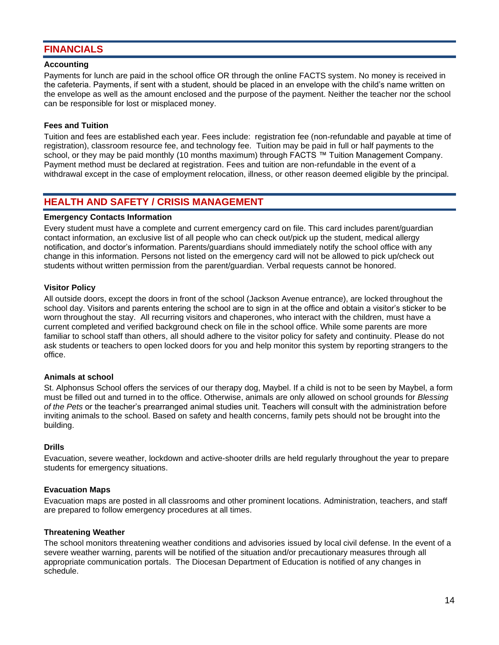## **FINANCIALS**

#### **Accounting**

Payments for lunch are paid in the school office OR through the online FACTS system. No money is received in the cafeteria. Payments, if sent with a student, should be placed in an envelope with the child's name written on the envelope as well as the amount enclosed and the purpose of the payment. Neither the teacher nor the school can be responsible for lost or misplaced money.

#### **Fees and Tuition**

Tuition and fees are established each year. Fees include: registration fee (non-refundable and payable at time of registration), classroom resource fee, and technology fee. Tuition may be paid in full or half payments to the school, or they may be paid monthly (10 months maximum) through FACTS ™ Tuition Management Company. Payment method must be declared at registration. Fees and tuition are non-refundable in the event of a withdrawal except in the case of employment relocation, illness, or other reason deemed eligible by the principal.

## **HEALTH AND SAFETY / CRISIS MANAGEMENT**

#### **Emergency Contacts Information**

Every student must have a complete and current emergency card on file. This card includes parent/guardian contact information, an exclusive list of all people who can check out/pick up the student, medical allergy notification, and doctor's information. Parents/guardians should immediately notify the school office with any change in this information. Persons not listed on the emergency card will not be allowed to pick up/check out students without written permission from the parent/guardian. Verbal requests cannot be honored.

#### **Visitor Policy**

All outside doors, except the doors in front of the school (Jackson Avenue entrance), are locked throughout the school day. Visitors and parents entering the school are to sign in at the office and obtain a visitor's sticker to be worn throughout the stay. All recurring visitors and chaperones, who interact with the children, must have a current completed and verified background check on file in the school office. While some parents are more familiar to school staff than others, all should adhere to the visitor policy for safety and continuity. Please do not ask students or teachers to open locked doors for you and help monitor this system by reporting strangers to the office.

#### **Animals at school**

St. Alphonsus School offers the services of our therapy dog, Maybel. If a child is not to be seen by Maybel, a form must be filled out and turned in to the office. Otherwise, animals are only allowed on school grounds for *Blessing of the Pets* or the teacher's prearranged animal studies unit. Teachers will consult with the administration before inviting animals to the school. Based on safety and health concerns, family pets should not be brought into the building.

#### **Drills**

Evacuation, severe weather, lockdown and active-shooter drills are held regularly throughout the year to prepare students for emergency situations.

#### **Evacuation Maps**

Evacuation maps are posted in all classrooms and other prominent locations. Administration, teachers, and staff are prepared to follow emergency procedures at all times.

#### **Threatening Weather**

The school monitors threatening weather conditions and advisories issued by local civil defense. In the event of a severe weather warning, parents will be notified of the situation and/or precautionary measures through all appropriate communication portals. The Diocesan Department of Education is notified of any changes in schedule.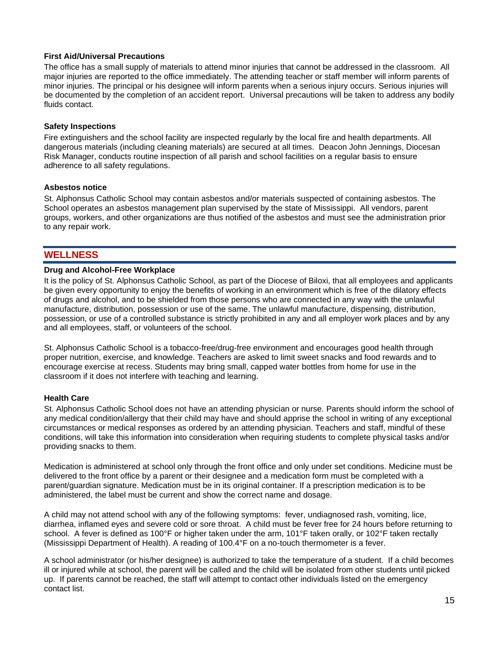#### **First Aid/Universal Precautions**

The office has a small supply of materials to attend minor injuries that cannot be addressed in the classroom. All major injuries are reported to the office immediately. The attending teacher or staff member will inform parents of minor injuries. The principal or his designee will inform parents when a serious injury occurs. Serious injuries will be documented by the completion of an accident report. Universal precautions will be taken to address any bodily fluids contact.

#### **Safety Inspections**

Fire extinguishers and the school facility are inspected regularly by the local fire and health departments. All dangerous materials (including cleaning materials) are secured at all times. Deacon John Jennings, Diocesan Risk Manager, conducts routine inspection of all parish and school facilities on a regular basis to ensure adherence to all safety regulations.

#### **Asbestos notice**

St. Alphonsus Catholic School may contain asbestos and/or materials suspected of containing asbestos. The School operates an asbestos management plan supervised by the state of Mississippi. All vendors, parent groups, workers, and other organizations are thus notified of the asbestos and must see the administration prior to any repair work.

## **WELLNESS**

#### **Drug and Alcohol-Free Workplace**

It is the policy of St. Alphonsus Catholic School, as part of the Diocese of Biloxi, that all employees and applicants be given every opportunity to enjoy the benefits of working in an environment which is free of the dilatory effects of drugs and alcohol, and to be shielded from those persons who are connected in any way with the unlawful manufacture, distribution, possession or use of the same. The unlawful manufacture, dispensing, distribution, possession, or use of a controlled substance is strictly prohibited in any and all employer work places and by any and all employees, staff, or volunteers of the school.

St. Alphonsus Catholic School is a tobacco-free/drug-free environment and encourages good health through proper nutrition, exercise, and knowledge. Teachers are asked to limit sweet snacks and food rewards and to encourage exercise at recess. Students may bring small, capped water bottles from home for use in the classroom if it does not interfere with teaching and learning.

#### **Health Care**

St. Alphonsus Catholic School does not have an attending physician or nurse. Parents should inform the school of any medical condition/allergy that their child may have and should apprise the school in writing of any exceptional circumstances or medical responses as ordered by an attending physician. Teachers and staff, mindful of these conditions, will take this information into consideration when requiring students to complete physical tasks and/or providing snacks to them.

Medication is administered at school only through the front office and only under set conditions. Medicine must be delivered to the front office by a parent or their designee and a medication form must be completed with a parent/guardian signature. Medication must be in its original container. If a prescription medication is to be administered, the label must be current and show the correct name and dosage.

A child may not attend school with any of the following symptoms: fever, undiagnosed rash, vomiting, lice, diarrhea, inflamed eyes and severe cold or sore throat. A child must be fever free for 24 hours before returning to school. A fever is defined as 100°F or higher taken under the arm, 101°F taken orally, or 102°F taken rectally (Mississippi Department of Health). A reading of 100.4°F on a no-touch thermometer is a fever.

A school administrator (or his/her designee) is authorized to take the temperature of a student. If a child becomes ill or injured while at school, the parent will be called and the child will be isolated from other students until picked up. If parents cannot be reached, the staff will attempt to contact other individuals listed on the emergency contact list.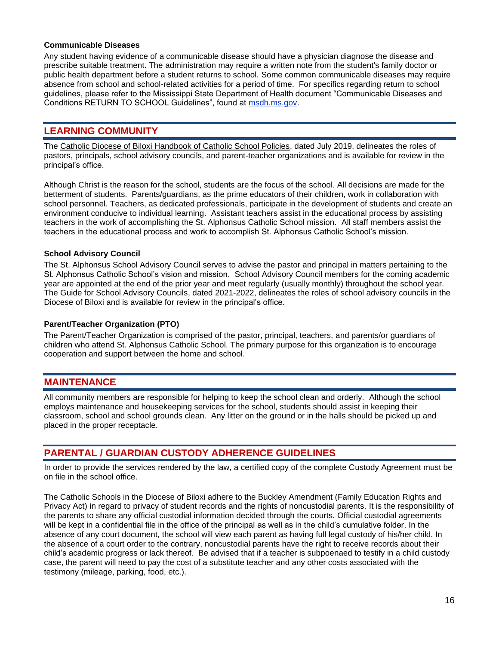#### **Communicable Diseases**

Any student having evidence of a communicable disease should have a physician diagnose the disease and prescribe suitable treatment. The administration may require a written note from the student's family doctor or public health department before a student returns to school. Some common communicable diseases may require absence from school and school-related activities for a period of time. For specifics regarding return to school guidelines, please refer to the Mississippi State Department of Health document "Communicable Diseases and Conditions RETURN TO SCHOOL Guidelines", found at msdh.ms.gov.

## **LEARNING COMMUNITY**

The Catholic Diocese of Biloxi Handbook of Catholic School Policies, dated July 2019, delineates the roles of pastors, principals, school advisory councils, and parent-teacher organizations and is available for review in the principal's office.

Although Christ is the reason for the school, students are the focus of the school. All decisions are made for the betterment of students. Parents/guardians, as the prime educators of their children, work in collaboration with school personnel. Teachers, as dedicated professionals, participate in the development of students and create an environment conducive to individual learning. Assistant teachers assist in the educational process by assisting teachers in the work of accomplishing the St. Alphonsus Catholic School mission. All staff members assist the teachers in the educational process and work to accomplish St. Alphonsus Catholic School's mission.

#### **School Advisory Council**

The St. Alphonsus School Advisory Council serves to advise the pastor and principal in matters pertaining to the St. Alphonsus Catholic School's vision and mission. School Advisory Council members for the coming academic year are appointed at the end of the prior year and meet regularly (usually monthly) throughout the school year. The Guide for School Advisory Councils, dated 2021-2022, delineates the roles of school advisory councils in the Diocese of Biloxi and is available for review in the principal's office.

#### **Parent/Teacher Organization (PTO)**

The Parent/Teacher Organization is comprised of the pastor, principal, teachers, and parents/or guardians of children who attend St. Alphonsus Catholic School. The primary purpose for this organization is to encourage cooperation and support between the home and school.

## **MAINTENANCE**

All community members are responsible for helping to keep the school clean and orderly. Although the school employs maintenance and housekeeping services for the school, students should assist in keeping their classroom, school and school grounds clean. Any litter on the ground or in the halls should be picked up and placed in the proper receptacle.

## **PARENTAL / GUARDIAN CUSTODY ADHERENCE GUIDELINES**

In order to provide the services rendered by the law, a certified copy of the complete Custody Agreement must be on file in the school office.

The Catholic Schools in the Diocese of Biloxi adhere to the Buckley Amendment (Family Education Rights and Privacy Act) in regard to privacy of student records and the rights of noncustodial parents. It is the responsibility of the parents to share any official custodial information decided through the courts. Official custodial agreements will be kept in a confidential file in the office of the principal as well as in the child's cumulative folder. In the absence of any court document, the school will view each parent as having full legal custody of his/her child. In the absence of a court order to the contrary, noncustodial parents have the right to receive records about their child's academic progress or lack thereof. Be advised that if a teacher is subpoenaed to testify in a child custody case, the parent will need to pay the cost of a substitute teacher and any other costs associated with the testimony (mileage, parking, food, etc.).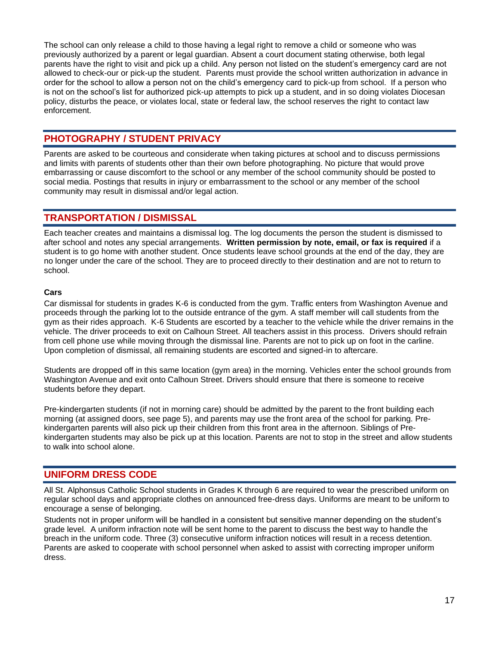The school can only release a child to those having a legal right to remove a child or someone who was previously authorized by a parent or legal guardian. Absent a court document stating otherwise, both legal parents have the right to visit and pick up a child. Any person not listed on the student's emergency card are not allowed to check-our or pick-up the student. Parents must provide the school written authorization in advance in order for the school to allow a person not on the child's emergency card to pick-up from school. If a person who is not on the school's list for authorized pick-up attempts to pick up a student, and in so doing violates Diocesan policy, disturbs the peace, or violates local, state or federal law, the school reserves the right to contact law enforcement.

## **PHOTOGRAPHY / STUDENT PRIVACY**

Parents are asked to be courteous and considerate when taking pictures at school and to discuss permissions and limits with parents of students other than their own before photographing. No picture that would prove embarrassing or cause discomfort to the school or any member of the school community should be posted to social media. Postings that results in injury or embarrassment to the school or any member of the school community may result in dismissal and/or legal action.

## **TRANSPORTATION / DISMISSAL**

Each teacher creates and maintains a dismissal log. The log documents the person the student is dismissed to after school and notes any special arrangements. **Written permission by note, email, or fax is required** if a student is to go home with another student. Once students leave school grounds at the end of the day, they are no longer under the care of the school. They are to proceed directly to their destination and are not to return to school.

#### **Cars**

Car dismissal for students in grades K-6 is conducted from the gym. Traffic enters from Washington Avenue and proceeds through the parking lot to the outside entrance of the gym. A staff member will call students from the gym as their rides approach. K-6 Students are escorted by a teacher to the vehicle while the driver remains in the vehicle. The driver proceeds to exit on Calhoun Street. All teachers assist in this process. Drivers should refrain from cell phone use while moving through the dismissal line. Parents are not to pick up on foot in the carline. Upon completion of dismissal, all remaining students are escorted and signed-in to aftercare.

Students are dropped off in this same location (gym area) in the morning. Vehicles enter the school grounds from Washington Avenue and exit onto Calhoun Street. Drivers should ensure that there is someone to receive students before they depart.

Pre-kindergarten students (if not in morning care) should be admitted by the parent to the front building each morning (at assigned doors, see page 5), and parents may use the front area of the school for parking. Prekindergarten parents will also pick up their children from this front area in the afternoon. Siblings of Prekindergarten students may also be pick up at this location. Parents are not to stop in the street and allow students to walk into school alone.

## **UNIFORM DRESS CODE**

All St. Alphonsus Catholic School students in Grades K through 6 are required to wear the prescribed uniform on regular school days and appropriate clothes on announced free-dress days. Uniforms are meant to be uniform to encourage a sense of belonging.

Students not in proper uniform will be handled in a consistent but sensitive manner depending on the student's grade level. A uniform infraction note will be sent home to the parent to discuss the best way to handle the breach in the uniform code. Three (3) consecutive uniform infraction notices will result in a recess detention. Parents are asked to cooperate with school personnel when asked to assist with correcting improper uniform dress.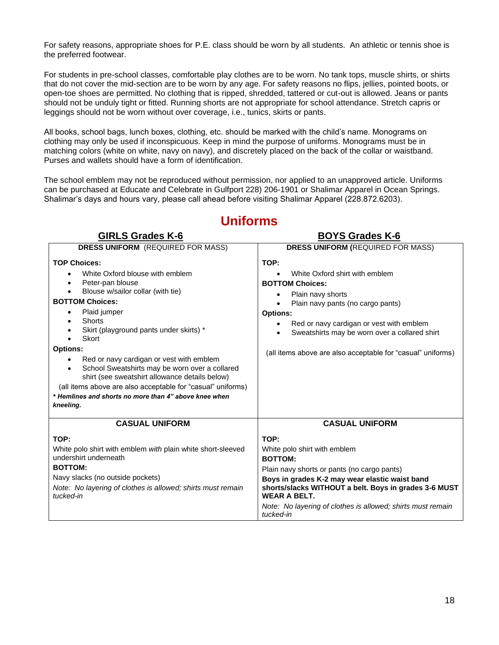For safety reasons, appropriate shoes for P.E. class should be worn by all students. An athletic or tennis shoe is the preferred footwear.

For students in pre-school classes, comfortable play clothes are to be worn. No tank tops, muscle shirts, or shirts that do not cover the mid-section are to be worn by any age. For safety reasons no flips, jellies, pointed boots, or open-toe shoes are permitted. No clothing that is ripped, shredded, tattered or cut-out is allowed. Jeans or pants should not be unduly tight or fitted. Running shorts are not appropriate for school attendance. Stretch capris or leggings should not be worn without over coverage, i.e., tunics, skirts or pants.

All books, school bags, lunch boxes, clothing, etc. should be marked with the child's name. Monograms on clothing may only be used if inconspicuous. Keep in mind the purpose of uniforms. Monograms must be in matching colors (white on white, navy on navy), and discretely placed on the back of the collar or waistband. Purses and wallets should have a form of identification.

The school emblem may not be reproduced without permission, nor applied to an unapproved article. Uniforms can be purchased at Educate and Celebrate in Gulfport [228\) 206-1901](https://www.google.com/search?q=educate+and+celebrate&rlz=1C1CHBF_enUS861US861&oq=educate+and+&aqs=chrome.0.0i355j46i175i199j0j69i57j0l4j46j0.1530j0j4&sourceid=chrome&ie=UTF-8&safe=active&ssui=on) or Shalimar Apparel in Ocean Springs. Shalimar's days and hours vary, please call ahead before visiting Shalimar Apparel (228.872.6203).

| <b>GIRLS Grades K-6</b>                                                                                                                                                                                                                                                                                                                                                                                                                                                                                                                      | <b>BOYS Grades K-6</b>                                                                                                                                                                                                                                                                                                 |
|----------------------------------------------------------------------------------------------------------------------------------------------------------------------------------------------------------------------------------------------------------------------------------------------------------------------------------------------------------------------------------------------------------------------------------------------------------------------------------------------------------------------------------------------|------------------------------------------------------------------------------------------------------------------------------------------------------------------------------------------------------------------------------------------------------------------------------------------------------------------------|
| <b>DRESS UNIFORM</b> (REQUIRED FOR MASS)                                                                                                                                                                                                                                                                                                                                                                                                                                                                                                     | <b>DRESS UNIFORM (REQUIRED FOR MASS)</b>                                                                                                                                                                                                                                                                               |
| <b>TOP Choices:</b><br>White Oxford blouse with emblem<br>Peter-pan blouse<br>Blouse w/sailor collar (with tie)<br><b>BOTTOM Choices:</b><br>Plaid jumper<br>Shorts<br>Skirt (playground pants under skirts) *<br>Skort<br><b>Options:</b><br>Red or navy cardigan or vest with emblem<br>School Sweatshirts may be worn over a collared<br>$\bullet$<br>shirt (see sweatshirt allowance details below)<br>(all items above are also acceptable for "casual" uniforms)<br>* Hemlines and shorts no more than 4" above knee when<br>kneeling. | TOP:<br>White Oxford shirt with emblem<br><b>BOTTOM Choices:</b><br>Plain navy shorts<br>Plain navy pants (no cargo pants)<br><b>Options:</b><br>Red or navy cardigan or vest with emblem<br>Sweatshirts may be worn over a collared shirt<br>$\bullet$<br>(all items above are also acceptable for "casual" uniforms) |
| <b>CASUAL UNIFORM</b>                                                                                                                                                                                                                                                                                                                                                                                                                                                                                                                        | <b>CASUAL UNIFORM</b>                                                                                                                                                                                                                                                                                                  |
| TOP:<br>White polo shirt with emblem with plain white short-sleeved<br>undershirt underneath<br><b>BOTTOM:</b><br>Navy slacks (no outside pockets)<br>Note: No layering of clothes is allowed; shirts must remain<br>tucked-in                                                                                                                                                                                                                                                                                                               | TOP:<br>White polo shirt with emblem<br><b>BOTTOM:</b><br>Plain navy shorts or pants (no cargo pants)<br>Boys in grades K-2 may wear elastic waist band<br>shorts/slacks WITHOUT a belt. Boys in grades 3-6 MUST<br><b>WEAR A BELT.</b><br>Note: No layering of clothes is allowed; shirts must remain<br>tucked-in    |

# **Uniforms**